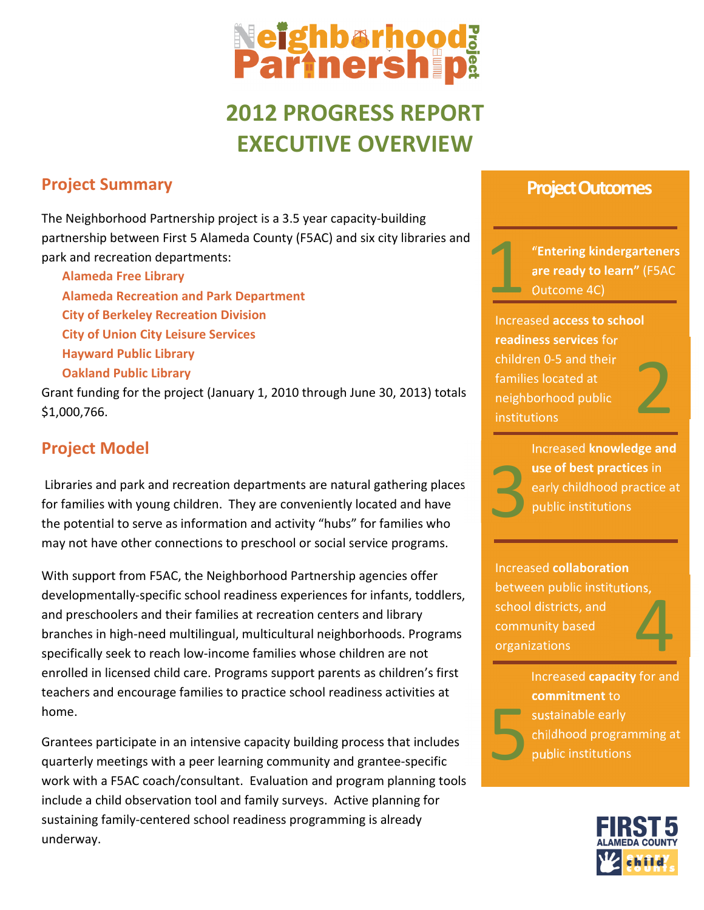# **Neighbarhooda**<br>Partnersh på

# 2012 PROGRESS REPORT EXECUTIVE OVERVIEW

# Project Summary

The Neighborhood Partnership project is a 3.5 year capacity-building partnership between First 5 Alameda County (F5AC) and six city libraries and park and recreation departments:

Alameda Free Library Alameda Recreation and Park Department City of Berkeley Recreation Division City of Union City Leisure Services Hayward Public Library Oakland Public Library

Grant funding for the project (January 1, 2010 through June 30, 2013) totals \$1,000,766.

## Project Model

 Libraries and park and recreation departments are natural gathering places for families with young children. They are conveniently located and have the potential to serve as information and activity "hubs" for families who may not have other connections to preschool or social service programs.

With support from F5AC, the Neighborhood Partnership agencies offer developmentally-specific school readiness experiences for infants, toddlers, and preschoolers and their families at recreation centers and library branches in high-need multilingual, multicultural neighborhoods. Programs specifically seek to reach low-income families whose children are not enrolled in licensed child care. Programs support parents as children's first teachers and encourage families to practice school readiness activities at home.

Grantees participate in an intensive capacity building process that includes quarterly meetings with a peer learning community and grantee-specific work with a F5AC coach/consultant. Evaluation and program planning tools include a child observation tool and family surveys. Active planning for sustaining family-centered school readiness programming is already underway.

### Project Outcomes

"Entering kindergarteners are ready to learn" (F5AC Outcome 4C) 1

Increased access to school readiness services for children 0-5 and their families located at neighborhood public institutions





Increased knowledge and use of best practices in early childhood practice at public institutions

Increased collaboration between public institutions, school districts, and community based organizations  $\overline{4}$